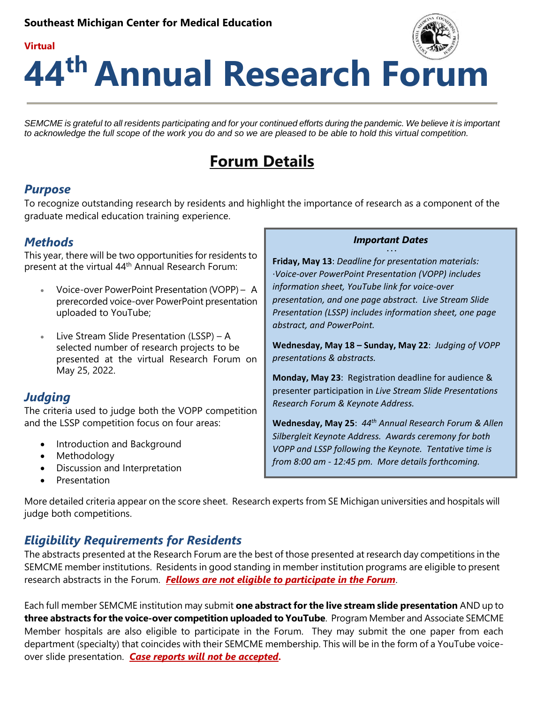

# **44 th Annual Research Forum**

SEMCME is grateful to all residents participating and for your continued efforts during the pandemic. We believe it is important *to acknowledge the full scope of the work you do and so we are pleased to be able to hold this virtual competition.*

## **Forum Details**

## *Purpose*

**Virtual**

To recognize outstanding research by residents and highlight the importance of research as a component of the graduate medical education training experience.

## *Methods*

This year, there will be two opportunities for residents to present at the virtual 44<sup>th</sup> Annual Research Forum:

 Voice-over PowerPoint Presentation (VOPP) – A prerecorded voice-over PowerPoint presentation uploaded to YouTube;

 $\bullet$  Live Stream Slide Presentation (LSSP) – A selected number of research projects to be presented at the virtual Research Forum on May 25, 2022.

## *Judging*

The criteria used to judge both the VOPP competition and the LSSP competition focus on four areas:

- Introduction and Background
- Methodology
- Discussion and Interpretation
- Presentation

#### *Important Dates* **· · ·**

**Friday, May 13**: *Deadline for presentation materials: ·Voice-over PowerPoint Presentation (VOPP) includes information sheet, YouTube link for voice-over presentation, and one page abstract. Live Stream Slide Presentation (LSSP) includes information sheet, one page abstract, and PowerPoint.* 

**Wednesday, May 18 – Sunday, May 22**: *Judging of VOPP presentations & abstracts.* 

**Monday, May 23**: Registration deadline for audience & presenter participation in *Live Stream Slide Presentations Research Forum & Keynote Address.*

**Wednesday, May 25**: *44 th Annual Research Forum & Allen Silbergleit Keynote Address. Awards ceremony for both VOPP and LSSP following the Keynote. Tentative time is from 8:00 am - 12:45 pm. More details forthcoming.* 

More detailed criteria appear on the score sheet. Research experts from SE Michigan universities and hospitals will judge both competitions.

## *Eligibility Requirements for Residents*

The abstracts presented at the Research Forum are the best of those presented at research day competitions in the SEMCME member institutions. Residents in good standing in member institution programs are eligible to present research abstracts in the Forum. *Fellows are not eligible to participate in the Forum*.

Each full member SEMCME institution may submit **one abstract for the live stream slide presentation** AND up to **three abstracts for the voice-over competition uploaded to YouTube**. Program Member and Associate SEMCME Member hospitals are also eligible to participate in the Forum. They may submit the one paper from each department (specialty) that coincides with their SEMCME membership. This will be in the form of a YouTube voiceover slide presentation. *Case reports will not be accepted***.**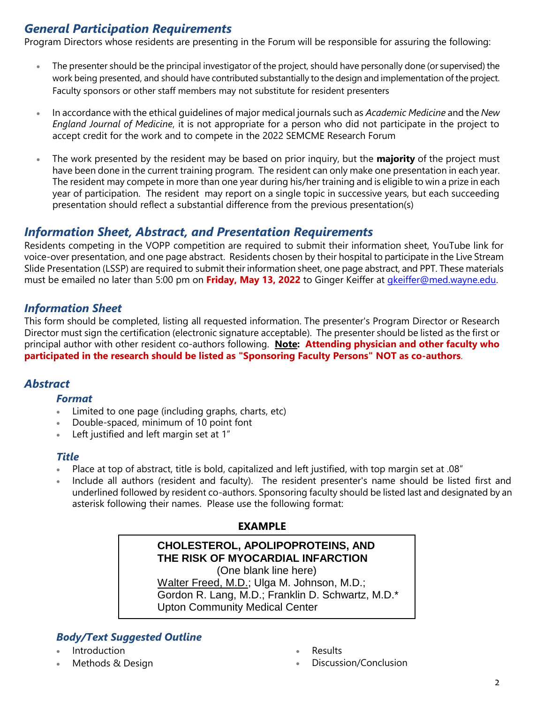## *General Participation Requirements*

Program Directors whose residents are presenting in the Forum will be responsible for assuring the following:

- The presenter should be the principal investigator of the project, should have personally done (or supervised) the work being presented, and should have contributed substantially to the design and implementation of the project. Faculty sponsors or other staff members may not substitute for resident presenters
- In accordance with the ethical guidelines of major medical journals such as *Academic Medicine* and the *New England Journal of Medicine*, it is not appropriate for a person who did not participate in the project to accept credit for the work and to compete in the 2022 SEMCME Research Forum
- The work presented by the resident may be based on prior inquiry, but the **majority** of the project must have been done in the current training program. The resident can only make one presentation in each year. The resident may compete in more than one year during his/her training and is eligible to win a prize in each year of participation. The resident may report on a single topic in successive years, but each succeeding presentation should reflect a substantial difference from the previous presentation(s)

## *Information Sheet, Abstract, and Presentation Requirements*

Residents competing in the VOPP competition are required to submit their information sheet, YouTube link for voice-over presentation, and one page abstract. Residents chosen by their hospital to participate in the Live Stream Slide Presentation (LSSP) are required to submit their information sheet, one page abstract, and PPT. These materials must be emailed no later than 5:00 pm on **Friday, May 13, 2022** to Ginger Keiffer at [gkeiffer@med.wayne.edu.](mailto:gkeiffer@med.wayne.edu) 

## *Information Sheet*

This form should be completed, listing all requested information. The presenter's Program Director or Research Director must sign the certification (electronic signature acceptable). The presenter should be listed as the first or principal author with other resident co-authors following. **Note: Attending physician and other faculty who participated in the research should be listed as "Sponsoring Faculty Persons" NOT as co-authors**.

## *Abstract*

#### *Format*

- Limited to one page (including graphs, charts, etc)
- Double-spaced, minimum of 10 point font
- Left justified and left margin set at 1"

#### *Title*

- Place at top of abstract, title is bold, capitalized and left justified, with top margin set at .08"
- Include all authors (resident and faculty). The resident presenter's name should be listed first and underlined followed by resident co-authors. Sponsoring faculty should be listed last and designated by an asterisk following their names. Please use the following format:

#### **EXAMPLE**

## **CHOLESTEROL, APOLIPOPROTEINS, AND THE RISK OF MYOCARDIAL INFARCTION**

(One blank line here) Walter Freed, M.D.; Ulga M. Johnson, M.D.; Gordon R. Lang, M.D.; Franklin D. Schwartz, M.D.\* Upton Community Medical Center

## *Body/Text Suggested Outline*

- Introduction
- Methods & Design
- Results
- Discussion/Conclusion